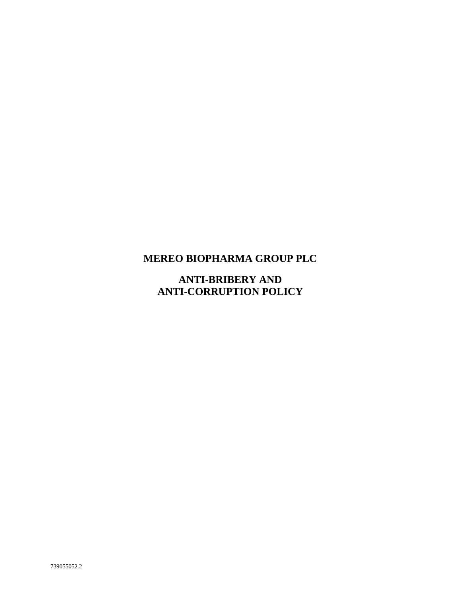# **MEREO BIOPHARMA GROUP PLC**

**ANTI-BRIBERY AND ANTI-CORRUPTION POLICY**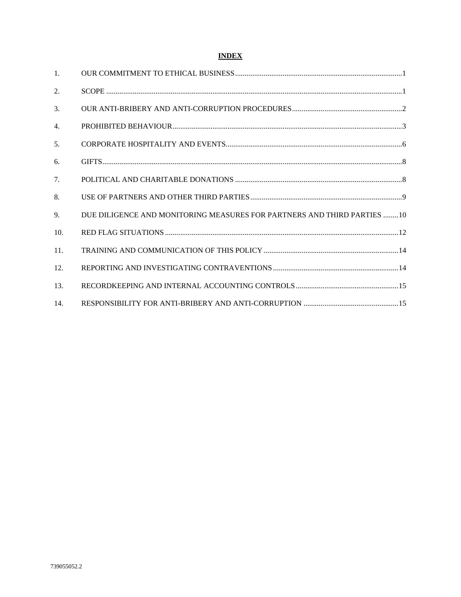# **INDEX**

| $\mathbf{1}$ .   |                                                                         |
|------------------|-------------------------------------------------------------------------|
| 2.               |                                                                         |
| 3.               |                                                                         |
| $\overline{4}$ . |                                                                         |
| 5 <sub>1</sub>   |                                                                         |
| 6.               |                                                                         |
| 7.               |                                                                         |
| 8.               |                                                                         |
| 9.               | DUE DILIGENCE AND MONITORING MEASURES FOR PARTNERS AND THIRD PARTIES 10 |
| 10.              |                                                                         |
| 11.              |                                                                         |
| 12.              |                                                                         |
| 13.              |                                                                         |
| 14.              |                                                                         |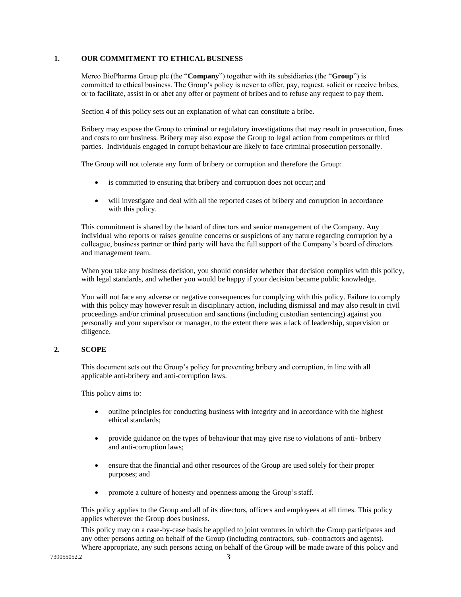## <span id="page-2-0"></span>**1. OUR COMMITMENT TO ETHICAL BUSINESS**

Mereo BioPharma Group plc (the "**Company**") together with its subsidiaries (the "**Group**") is committed to ethical business. The Group's policy is never to offer, pay, request, solicit or receive bribes, or to facilitate, assist in or abet any offer or payment of bribes and to refuse any request to pay them.

Section 4 of this policy sets out an explanation of what can constitute a bribe.

Bribery may expose the Group to criminal or regulatory investigations that may result in prosecution, fines and costs to our business. Bribery may also expose the Group to legal action from competitors or third parties. Individuals engaged in corrupt behaviour are likely to face criminal prosecution personally.

The Group will not tolerate any form of bribery or corruption and therefore the Group:

- is committed to ensuring that bribery and corruption does not occur; and
- will investigate and deal with all the reported cases of bribery and corruption in accordance with this policy.

This commitment is shared by the board of directors and senior management of the Company. Any individual who reports or raises genuine concerns or suspicions of any nature regarding corruption by a colleague, business partner or third party will have the full support of the Company's board of directors and management team.

When you take any business decision, you should consider whether that decision complies with this policy, with legal standards, and whether you would be happy if your decision became public knowledge.

You will not face any adverse or negative consequences for complying with this policy. Failure to comply with this policy may however result in disciplinary action, including dismissal and may also result in civil proceedings and/or criminal prosecution and sanctions (including custodian sentencing) against you personally and your supervisor or manager, to the extent there was a lack of leadership, supervision or diligence.

# <span id="page-2-1"></span>**2. SCOPE**

This document sets out the Group's policy for preventing bribery and corruption, in line with all applicable anti-bribery and anti-corruption laws.

This policy aims to:

- outline principles for conducting business with integrity and in accordance with the highest ethical standards;
- provide guidance on the types of behaviour that may give rise to violations of anti- bribery and anti-corruption laws;
- ensure that the financial and other resources of the Group are used solely for their proper purposes; and
- promote a culture of honesty and openness among the Group's staff.

This policy applies to the Group and all of its directors, officers and employees at all times. This policy applies wherever the Group does business.

This policy may on a case-by-case basis be applied to joint ventures in which the Group participates and any other persons acting on behalf of the Group (including contractors, sub- contractors and agents). Where appropriate, any such persons acting on behalf of the Group will be made aware of this policy and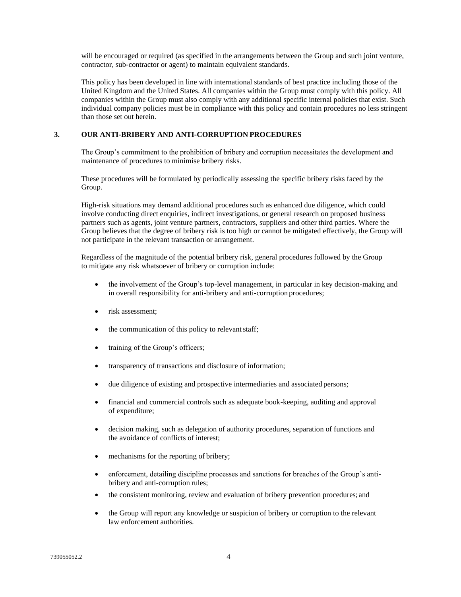will be encouraged or required (as specified in the arrangements between the Group and such joint venture, contractor, sub-contractor or agent) to maintain equivalent standards.

This policy has been developed in line with international standards of best practice including those of the United Kingdom and the United States. All companies within the Group must comply with this policy. All companies within the Group must also comply with any additional specific internal policies that exist. Such individual company policies must be in compliance with this policy and contain procedures no less stringent than those set out herein.

## <span id="page-3-0"></span>**3. OUR ANTI-BRIBERY AND ANTI-CORRUPTION PROCEDURES**

The Group's commitment to the prohibition of bribery and corruption necessitates the development and maintenance of procedures to minimise bribery risks.

These procedures will be formulated by periodically assessing the specific bribery risks faced by the Group.

High-risk situations may demand additional procedures such as enhanced due diligence, which could involve conducting direct enquiries, indirect investigations, or general research on proposed business partners such as agents, joint venture partners, contractors, suppliers and other third parties. Where the Group believes that the degree of bribery risk is too high or cannot be mitigated effectively, the Group will not participate in the relevant transaction or arrangement.

Regardless of the magnitude of the potential bribery risk, general procedures followed by the Group to mitigate any risk whatsoever of bribery or corruption include:

- the involvement of the Group's top-level management, in particular in key decision-making and in overall responsibility for anti-bribery and anti-corruption procedures;
- risk assessment;
- the communication of this policy to relevant staff;
- training of the Group's officers;
- transparency of transactions and disclosure of information;
- due diligence of existing and prospective intermediaries and associated persons;
- financial and commercial controls such as adequate book-keeping, auditing and approval of expenditure;
- decision making, such as delegation of authority procedures, separation of functions and the avoidance of conflicts of interest;
- mechanisms for the reporting of bribery;
- enforcement, detailing discipline processes and sanctions for breaches of the Group's antibribery and anti-corruption rules;
- the consistent monitoring, review and evaluation of bribery prevention procedures; and
- the Group will report any knowledge or suspicion of bribery or corruption to the relevant law enforcement authorities.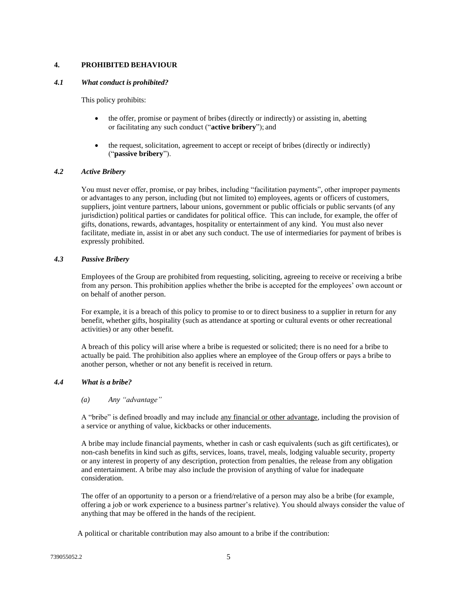# <span id="page-4-0"></span>**4. PROHIBITED BEHAVIOUR**

#### *4.1 What conduct is prohibited?*

This policy prohibits:

- the offer, promise or payment of bribes (directly or indirectly) or assisting in, abetting or facilitating any such conduct ("**active bribery**"); and
- the request, solicitation, agreement to accept or receipt of bribes (directly or indirectly) ("**passive bribery**").

#### *4.2 Active Bribery*

You must never offer, promise, or pay bribes, including "facilitation payments", other improper payments or advantages to any person, including (but not limited to) employees, agents or officers of customers, suppliers, joint venture partners, labour unions, government or public officials or public servants (of any jurisdiction) political parties or candidates for political office. This can include, for example, the offer of gifts, donations, rewards, advantages, hospitality or entertainment of any kind. You must also never facilitate, mediate in, assist in or abet any such conduct. The use of intermediaries for payment of bribes is expressly prohibited.

#### *4.3 Passive Bribery*

Employees of the Group are prohibited from requesting, soliciting, agreeing to receive or receiving a bribe from any person. This prohibition applies whether the bribe is accepted for the employees' own account or on behalf of another person.

For example, it is a breach of this policy to promise to or to direct business to a supplier in return for any benefit, whether gifts, hospitality (such as attendance at sporting or cultural events or other recreational activities) or any other benefit.

A breach of this policy will arise where a bribe is requested or solicited; there is no need for a bribe to actually be paid. The prohibition also applies where an employee of the Group offers or pays a bribe to another person, whether or not any benefit is received in return.

#### *4.4 What is a bribe?*

#### *(a) Any "advantage"*

A "bribe" is defined broadly and may include any financial or other advantage, including the provision of a service or anything of value, kickbacks or other inducements.

A bribe may include financial payments, whether in cash or cash equivalents (such as gift certificates), or non-cash benefits in kind such as gifts, services, loans, travel, meals, lodging valuable security, property or any interest in property of any description, protection from penalties, the release from any obligation and entertainment. A bribe may also include the provision of anything of value for inadequate consideration.

The offer of an opportunity to a person or a friend/relative of a person may also be a bribe (for example, offering a job or work experience to a business partner's relative). You should always consider the value of anything that may be offered in the hands of the recipient.

A political or charitable contribution may also amount to a bribe if the contribution: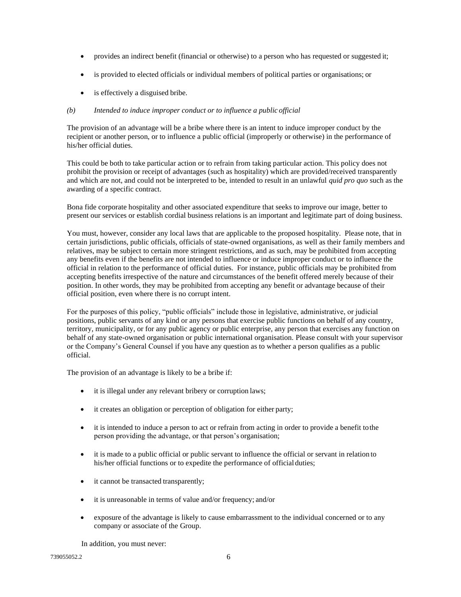- provides an indirect benefit (financial or otherwise) to a person who has requested or suggested it;
- is provided to elected officials or individual members of political parties or organisations; or
- is effectively a disguised bribe.

## *(b) Intended to induce improper conduct or to influence a public official*

The provision of an advantage will be a bribe where there is an intent to induce improper conduct by the recipient or another person, or to influence a public official (improperly or otherwise) in the performance of his/her official duties.

This could be both to take particular action or to refrain from taking particular action. This policy does not prohibit the provision or receipt of advantages (such as hospitality) which are provided/received transparently and which are not, and could not be interpreted to be, intended to result in an unlawful *quid pro quo* such as the awarding of a specific contract.

Bona fide corporate hospitality and other associated expenditure that seeks to improve our image, better to present our services or establish cordial business relations is an important and legitimate part of doing business.

You must, however, consider any local laws that are applicable to the proposed hospitality. Please note, that in certain jurisdictions, public officials, officials of state-owned organisations, as well as their family members and relatives, may be subject to certain more stringent restrictions, and as such, may be prohibited from accepting any benefits even if the benefits are not intended to influence or induce improper conduct or to influence the official in relation to the performance of official duties. For instance, public officials may be prohibited from accepting benefits irrespective of the nature and circumstances of the benefit offered merely because of their position. In other words, they may be prohibited from accepting any benefit or advantage because of their official position, even where there is no corrupt intent.

For the purposes of this policy, "public officials" include those in legislative, administrative, or judicial positions, public servants of any kind or any persons that exercise public functions on behalf of any country, territory, municipality, or for any public agency or public enterprise, any person that exercises any function on behalf of any state-owned organisation or public international organisation. Please consult with your supervisor or the Company's General Counsel if you have any question as to whether a person qualifies as a public official.

The provision of an advantage is likely to be a bribe if:

- it is illegal under any relevant bribery or corruption laws;
- it creates an obligation or perception of obligation for either party;
- it is intended to induce a person to act or refrain from acting in order to provide a benefit to the person providing the advantage, or that person's organisation;
- it is made to a public official or public servant to influence the official or servant in relation to his/her official functions or to expedite the performance of official duties;
- it cannot be transacted transparently;
- it is unreasonable in terms of value and/or frequency; and/or
- exposure of the advantage is likely to cause embarrassment to the individual concerned or to any company or associate of the Group.

In addition, you must never: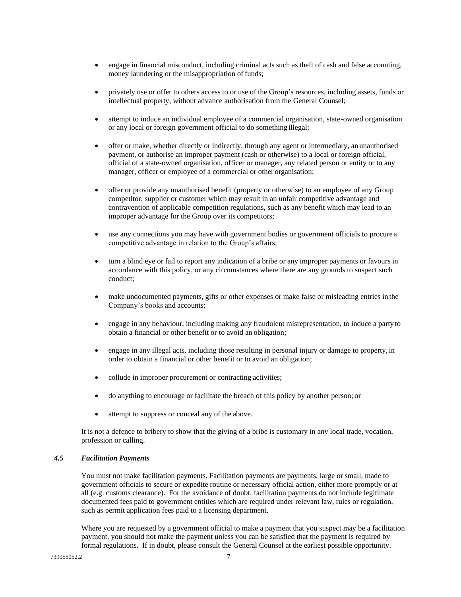- engage in financial misconduct, including criminal acts such as theft of cash and false accounting, money laundering or the misappropriation of funds;
- privately use or offer to others access to or use of the Group's resources, including assets, funds or intellectual property, without advance authorisation from the General Counsel;
- attempt to induce an individual employee of a commercial organisation, state-owned organisation or any local or foreign government official to do something illegal;
- offer or make, whether directly or indirectly, through any agent or intermediary, an unauthorised payment, or authorise an improper payment (cash or otherwise) to a local or foreign official, official of a state-owned organisation, officer or manager, any related person or entity or to any manager, officer or employee of a commercial or other organisation;
- offer or provide any unauthorised benefit (property or otherwise) to an employee of any Group competitor, supplier or customer which may result in an unfair competitive advantage and contravention of applicable competition regulations, such as any benefit which may lead to an improper advantage for the Group over its competitors;
- use any connections you may have with government bodies or government officials to procure a competitive advantage in relation to the Group's affairs;
- turn a blind eye or fail to report any indication of a bribe or any improper payments or favours in accordance with this policy, or any circumstances where there are any grounds to suspect such conduct;
- make undocumented payments, gifts or other expenses or make false or misleading entries in the Company's books and accounts;
- engage in any behaviour, including making any fraudulent misrepresentation, to induce a party to obtain a financial or other benefit or to avoid an obligation;
- engage in any illegal acts, including those resulting in personal injury or damage to property, in order to obtain a financial or other benefit or to avoid an obligation;
- collude in improper procurement or contracting activities;
- do anything to encourage or facilitate the breach of this policy by another person; or
- attempt to suppress or conceal any of the above.

It is not a defence to bribery to show that the giving of a bribe is customary in any local trade, vocation, profession or calling.

#### *4.5 Facilitation Payments*

You must not make facilitation payments. Facilitation payments are payments, large or small, made to government officials to secure or expedite routine or necessary official action, either more promptly or at all (e.g. customs clearance). For the avoidance of doubt, facilitation payments do not include legitimate documented fees paid to government entities which are required under relevant law, rules or regulation, such as permit application fees paid to a licensing department.

Where you are requested by a government official to make a payment that you suspect may be a facilitation payment, you should not make the payment unless you can be satisfied that the payment is required by formal regulations. If in doubt, please consult the General Counsel at the earliest possible opportunity.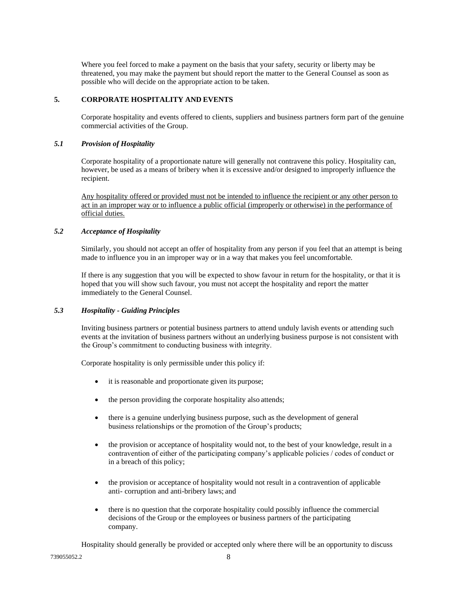Where you feel forced to make a payment on the basis that your safety, security or liberty may be threatened, you may make the payment but should report the matter to the General Counsel as soon as possible who will decide on the appropriate action to be taken.

## <span id="page-7-0"></span>**5. CORPORATE HOSPITALITY AND EVENTS**

Corporate hospitality and events offered to clients, suppliers and business partners form part of the genuine commercial activities of the Group.

#### *5.1 Provision of Hospitality*

Corporate hospitality of a proportionate nature will generally not contravene this policy. Hospitality can, however, be used as a means of bribery when it is excessive and/or designed to improperly influence the recipient.

Any hospitality offered or provided must not be intended to influence the recipient or any other person to act in an improper way or to influence a public official (improperly or otherwise) in the performance of official duties.

#### *5.2 Acceptance of Hospitality*

Similarly, you should not accept an offer of hospitality from any person if you feel that an attempt is being made to influence you in an improper way or in a way that makes you feel uncomfortable.

If there is any suggestion that you will be expected to show favour in return for the hospitality, or that it is hoped that you will show such favour, you must not accept the hospitality and report the matter immediately to the General Counsel.

#### *5.3 Hospitality - Guiding Principles*

Inviting business partners or potential business partners to attend unduly lavish events or attending such events at the invitation of business partners without an underlying business purpose is not consistent with the Group's commitment to conducting business with integrity.

Corporate hospitality is only permissible under this policy if:

- it is reasonable and proportionate given its purpose;
- the person providing the corporate hospitality also attends;
- there is a genuine underlying business purpose, such as the development of general business relationships or the promotion of the Group's products;
- the provision or acceptance of hospitality would not, to the best of your knowledge, result in a contravention of either of the participating company's applicable policies / codes of conduct or in a breach of this policy;
- the provision or acceptance of hospitality would not result in a contravention of applicable anti- corruption and anti-bribery laws; and
- there is no question that the corporate hospitality could possibly influence the commercial decisions of the Group or the employees or business partners of the participating company.

Hospitality should generally be provided or accepted only where there will be an opportunity to discuss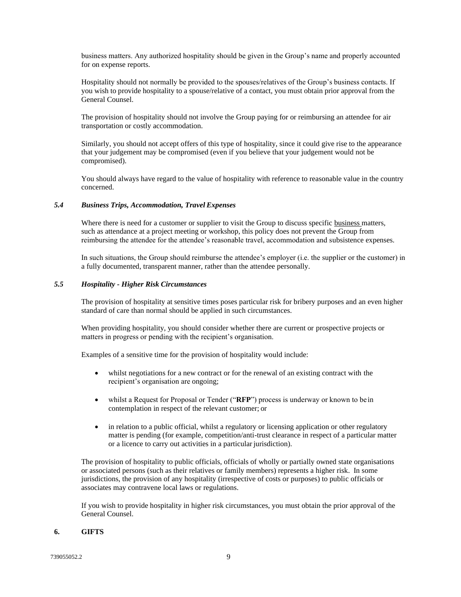business matters. Any authorized hospitality should be given in the Group's name and properly accounted for on expense reports.

Hospitality should not normally be provided to the spouses/relatives of the Group's business contacts. If you wish to provide hospitality to a spouse/relative of a contact, you must obtain prior approval from the General Counsel.

The provision of hospitality should not involve the Group paying for or reimbursing an attendee for air transportation or costly accommodation.

Similarly, you should not accept offers of this type of hospitality, since it could give rise to the appearance that your judgement may be compromised (even if you believe that your judgement would not be compromised).

You should always have regard to the value of hospitality with reference to reasonable value in the country concerned.

#### *5.4 Business Trips, Accommodation, Travel Expenses*

Where there is need for a customer or supplier to visit the Group to discuss specific business matters, such as attendance at a project meeting or workshop, this policy does not prevent the Group from reimbursing the attendee for the attendee's reasonable travel, accommodation and subsistence expenses.

In such situations, the Group should reimburse the attendee's employer (i.e. the supplier or the customer) in a fully documented, transparent manner, rather than the attendee personally.

#### *5.5 Hospitality - Higher Risk Circumstances*

The provision of hospitality at sensitive times poses particular risk for bribery purposes and an even higher standard of care than normal should be applied in such circumstances.

When providing hospitality, you should consider whether there are current or prospective projects or matters in progress or pending with the recipient's organisation.

Examples of a sensitive time for the provision of hospitality would include:

- whilst negotiations for a new contract or for the renewal of an existing contract with the recipient's organisation are ongoing;
- whilst a Request for Proposal or Tender ("RFP") process is underway or known to be in contemplation in respect of the relevant customer; or
- in relation to a public official, whilst a regulatory or licensing application or other regulatory matter is pending (for example, competition/anti-trust clearance in respect of a particular matter or a licence to carry out activities in a particular jurisdiction).

The provision of hospitality to public officials, officials of wholly or partially owned state organisations or associated persons (such as their relatives or family members) represents a higher risk. In some jurisdictions, the provision of any hospitality (irrespective of costs or purposes) to public officials or associates may contravene local laws or regulations.

If you wish to provide hospitality in higher risk circumstances, you must obtain the prior approval of the General Counsel.

#### <span id="page-8-0"></span>**6. GIFTS**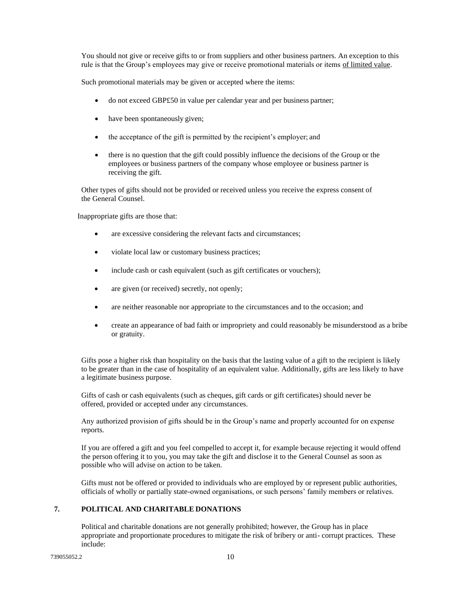You should not give or receive gifts to or from suppliers and other business partners. An exception to this rule is that the Group's employees may give or receive promotional materials or items of limited value.

Such promotional materials may be given or accepted where the items:

- do not exceed GBP£50 in value per calendar year and per business partner;
- have been spontaneously given;
- the acceptance of the gift is permitted by the recipient's employer; and
- there is no question that the gift could possibly influence the decisions of the Group or the employees or business partners of the company whose employee or business partner is receiving the gift.

Other types of gifts should not be provided or received unless you receive the express consent of the General Counsel.

Inappropriate gifts are those that:

- are excessive considering the relevant facts and circumstances;
- violate local law or customary business practices;
- include cash or cash equivalent (such as gift certificates or vouchers);
- are given (or received) secretly, not openly;
- are neither reasonable nor appropriate to the circumstances and to the occasion; and
- create an appearance of bad faith or impropriety and could reasonably be misunderstood as a bribe or gratuity.

Gifts pose a higher risk than hospitality on the basis that the lasting value of a gift to the recipient is likely to be greater than in the case of hospitality of an equivalent value. Additionally, gifts are less likely to have a legitimate business purpose.

Gifts of cash or cash equivalents (such as cheques, gift cards or gift certificates) should never be offered, provided or accepted under any circumstances.

Any authorized provision of gifts should be in the Group's name and properly accounted for on expense reports.

If you are offered a gift and you feel compelled to accept it, for example because rejecting it would offend the person offering it to you, you may take the gift and disclose it to the General Counsel as soon as possible who will advise on action to be taken.

Gifts must not be offered or provided to individuals who are employed by or represent public authorities, officials of wholly or partially state-owned organisations, or such persons' family members or relatives.

# <span id="page-9-0"></span>**7. POLITICAL AND CHARITABLE DONATIONS**

Political and charitable donations are not generally prohibited; however, the Group has in place appropriate and proportionate procedures to mitigate the risk of bribery or anti- corrupt practices. These include: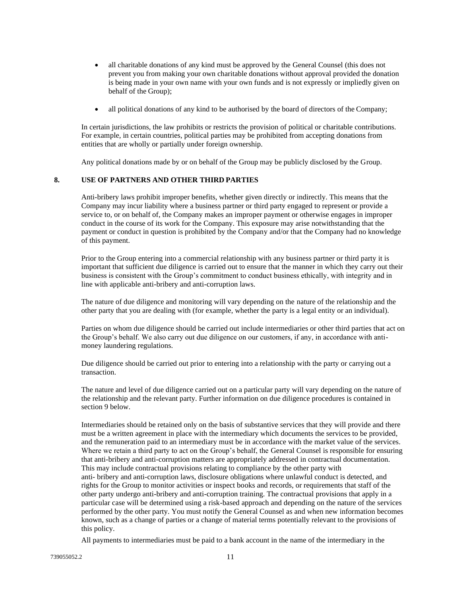- all charitable donations of any kind must be approved by the General Counsel (this does not prevent you from making your own charitable donations without approval provided the donation is being made in your own name with your own funds and is not expressly or impliedly given on behalf of the Group);
- all political donations of any kind to be authorised by the board of directors of the Company;

In certain jurisdictions, the law prohibits or restricts the provision of political or charitable contributions. For example, in certain countries, political parties may be prohibited from accepting donations from entities that are wholly or partially under foreign ownership.

Any political donations made by or on behalf of the Group may be publicly disclosed by the Group.

# <span id="page-10-0"></span>**8. USE OF PARTNERS AND OTHER THIRD PARTIES**

Anti-bribery laws prohibit improper benefits, whether given directly or indirectly. This means that the Company may incur liability where a business partner or third party engaged to represent or provide a service to, or on behalf of, the Company makes an improper payment or otherwise engages in improper conduct in the course of its work for the Company. This exposure may arise notwithstanding that the payment or conduct in question is prohibited by the Company and/or that the Company had no knowledge of this payment.

Prior to the Group entering into a commercial relationship with any business partner or third party it is important that sufficient due diligence is carried out to ensure that the manner in which they carry out their business is consistent with the Group's commitment to conduct business ethically, with integrity and in line with applicable anti-bribery and anti-corruption laws.

The nature of due diligence and monitoring will vary depending on the nature of the relationship and the other party that you are dealing with (for example, whether the party is a legal entity or an individual).

Parties on whom due diligence should be carried out include intermediaries or other third parties that act on the Group's behalf. We also carry out due diligence on our customers, if any, in accordance with antimoney laundering regulations.

Due diligence should be carried out prior to entering into a relationship with the party or carrying out a transaction.

The nature and level of due diligence carried out on a particular party will vary depending on the nature of the relationship and the relevant party. Further information on due diligence procedures is contained in section 9 below.

Intermediaries should be retained only on the basis of substantive services that they will provide and there must be a written agreement in place with the intermediary which documents the services to be provided, and the remuneration paid to an intermediary must be in accordance with the market value of the services. Where we retain a third party to act on the Group's behalf, the General Counsel is responsible for ensuring that anti-bribery and anti-corruption matters are appropriately addressed in contractual documentation. This may include contractual provisions relating to compliance by the other party with anti- bribery and anti-corruption laws, disclosure obligations where unlawful conduct is detected, and rights for the Group to monitor activities or inspect books and records, or requirements that staff of the other party undergo anti-bribery and anti-corruption training. The contractual provisions that apply in a particular case will be determined using a risk-based approach and depending on the nature of the services performed by the other party. You must notify the General Counsel as and when new information becomes known, such as a change of parties or a change of material terms potentially relevant to the provisions of this policy.

All payments to intermediaries must be paid to a bank account in the name of the intermediary in the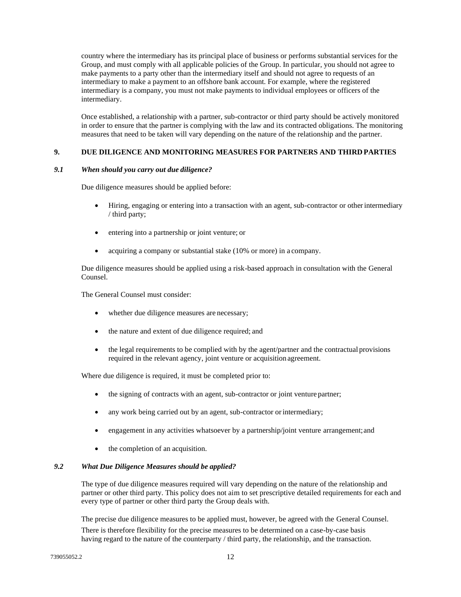country where the intermediary has its principal place of business or performs substantial services for the Group, and must comply with all applicable policies of the Group. In particular, you should not agree to make payments to a party other than the intermediary itself and should not agree to requests of an intermediary to make a payment to an offshore bank account. For example, where the registered intermediary is a company, you must not make payments to individual employees or officers of the intermediary.

Once established, a relationship with a partner, sub-contractor or third party should be actively monitored in order to ensure that the partner is complying with the law and its contracted obligations. The monitoring measures that need to be taken will vary depending on the nature of the relationship and the partner.

#### <span id="page-11-0"></span>**9. DUE DILIGENCE AND MONITORING MEASURES FOR PARTNERS AND THIRD PARTIES**

# *9.1 When should you carry out due diligence?*

Due diligence measures should be applied before:

- Hiring, engaging or entering into a transaction with an agent, sub-contractor or otherintermediary / third party;
- entering into a partnership or joint venture; or
- acquiring a company or substantial stake (10% or more) in a company.

Due diligence measures should be applied using a risk-based approach in consultation with the General Counsel.

The General Counsel must consider:

- whether due diligence measures are necessary;
- the nature and extent of due diligence required; and
- the legal requirements to be complied with by the agent/partner and the contractual provisions required in the relevant agency, joint venture or acquisition agreement.

Where due diligence is required, it must be completed prior to:

- the signing of contracts with an agent, sub-contractor or joint venture partner;
- any work being carried out by an agent, sub-contractor or intermediary;
- engagement in any activities whatsoever by a partnership/joint venture arrangement;and
- the completion of an acquisition.

#### *9.2 What Due Diligence Measures should be applied?*

The type of due diligence measures required will vary depending on the nature of the relationship and partner or other third party. This policy does not aim to set prescriptive detailed requirements for each and every type of partner or other third party the Group deals with.

The precise due diligence measures to be applied must, however, be agreed with the General Counsel.

There is therefore flexibility for the precise measures to be determined on a case-by-case basis having regard to the nature of the counterparty / third party, the relationship, and the transaction.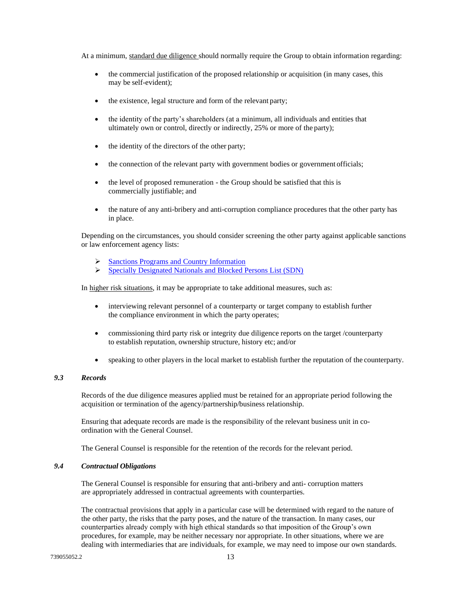At a minimum, standard due diligence should normally require the Group to obtain information regarding:

- the commercial justification of the proposed relationship or acquisition (in many cases, this may be self-evident);
- the existence, legal structure and form of the relevant party;
- the identity of the party's shareholders (at a minimum, all individuals and entities that ultimately own or control, directly or indirectly, 25% or more of the party);
- the identity of the directors of the other party;
- the connection of the relevant party with government bodies or government officials;
- the level of proposed remuneration the Group should be satisfied that this is commercially justifiable; and
- the nature of any anti-bribery and anti-corruption compliance procedures that the other party has in place.

Depending on the circumstances, you should consider screening the other party against applicable sanctions or law enforcement agency lists:

- ➢ [Sanctions Programs and Country Information](https://home.treasury.gov/policy-issues/financial-sanctions/sanctions-programs-and-country-information)
- ➢ [Specially Designated Nationals and Blocked Persons List \(SDN\)](https://home.treasury.gov/policy-issues/financial-sanctions/specially-designated-nationals-and-blocked-persons-list-sdn-human-readable-lists)

In higher risk situations, it may be appropriate to take additional measures, such as:

- interviewing relevant personnel of a counterparty or target company to establish further the compliance environment in which the party operates;
- commissioning third party risk or integrity due diligence reports on the target /counterparty to establish reputation, ownership structure, history etc; and/or
- speaking to other players in the local market to establish further the reputation of the counterparty.

# *9.3 Records*

Records of the due diligence measures applied must be retained for an appropriate period following the acquisition or termination of the agency/partnership/business relationship.

Ensuring that adequate records are made is the responsibility of the relevant business unit in coordination with the General Counsel.

The General Counsel is responsible for the retention of the records for the relevant period.

#### *9.4 Contractual Obligations*

The General Counsel is responsible for ensuring that anti-bribery and anti- corruption matters are appropriately addressed in contractual agreements with counterparties.

The contractual provisions that apply in a particular case will be determined with regard to the nature of the other party, the risks that the party poses, and the nature of the transaction. In many cases, our counterparties already comply with high ethical standards so that imposition of the Group's own procedures, for example, may be neither necessary nor appropriate. In other situations, where we are dealing with intermediaries that are individuals, for example, we may need to impose our own standards.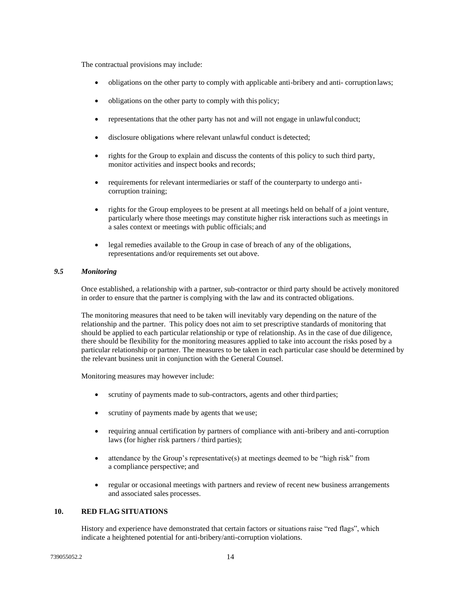The contractual provisions may include:

- obligations on the other party to comply with applicable anti-bribery and anti- corruption laws;
- obligations on the other party to comply with this policy;
- representations that the other party has not and will not engage in unlawful conduct;
- disclosure obligations where relevant unlawful conduct is detected;
- rights for the Group to explain and discuss the contents of this policy to such third party, monitor activities and inspect books and records;
- requirements for relevant intermediaries or staff of the counterparty to undergo anticorruption training;
- rights for the Group employees to be present at all meetings held on behalf of a joint venture, particularly where those meetings may constitute higher risk interactions such as meetings in a sales context or meetings with public officials; and
- legal remedies available to the Group in case of breach of any of the obligations, representations and/or requirements set out above.

# *9.5 Monitoring*

Once established, a relationship with a partner, sub-contractor or third party should be actively monitored in order to ensure that the partner is complying with the law and its contracted obligations.

The monitoring measures that need to be taken will inevitably vary depending on the nature of the relationship and the partner. This policy does not aim to set prescriptive standards of monitoring that should be applied to each particular relationship or type of relationship. As in the case of due diligence, there should be flexibility for the monitoring measures applied to take into account the risks posed by a particular relationship or partner. The measures to be taken in each particular case should be determined by the relevant business unit in conjunction with the General Counsel.

Monitoring measures may however include:

- scrutiny of payments made to sub-contractors, agents and other third parties;
- scrutiny of payments made by agents that we use;
- requiring annual certification by partners of compliance with anti-bribery and anti-corruption laws (for higher risk partners / third parties);
- attendance by the Group's representative(s) at meetings deemed to be "high risk" from a compliance perspective; and
- regular or occasional meetings with partners and review of recent new business arrangements and associated sales processes.

# <span id="page-13-0"></span>**10. RED FLAG SITUATIONS**

History and experience have demonstrated that certain factors or situations raise "red flags", which indicate a heightened potential for anti-bribery/anti-corruption violations.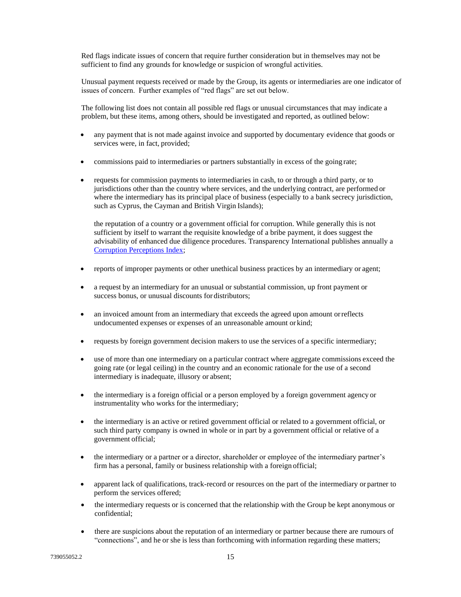Red flags indicate issues of concern that require further consideration but in themselves may not be sufficient to find any grounds for knowledge or suspicion of wrongful activities.

Unusual payment requests received or made by the Group, its agents or intermediaries are one indicator of issues of concern. Further examples of "red flags" are set out below.

The following list does not contain all possible red flags or unusual circumstances that may indicate a problem, but these items, among others, should be investigated and reported, as outlined below:

- any payment that is not made against invoice and supported by documentary evidence that goods or services were, in fact, provided;
- commissions paid to intermediaries or partners substantially in excess of the going rate;
- requests for commission payments to intermediaries in cash, to or through a third party, or to jurisdictions other than the country where services, and the underlying contract, are performed or where the intermediary has its principal place of business (especially to a bank secrecy jurisdiction, such as Cyprus, the Cayman and British Virgin Islands);

the reputation of a country or a government official for corruption. While generally this is not sufficient by itself to warrant the requisite knowledge of a bribe payment, it does suggest the advisability of enhanced due diligence procedures. Transparency International publishes annually a [Corruption Perceptions Index;](https://www.transparency.org/research/cpi/overview)

- reports of improper payments or other unethical business practices by an intermediary or agent;
- a request by an intermediary for an unusual or substantial commission, up front payment or success bonus, or unusual discounts for distributors;
- an invoiced amount from an intermediary that exceeds the agreed upon amount orreflects undocumented expenses or expenses of an unreasonable amount or kind;
- requests by foreign government decision makers to use the services of a specific intermediary;
- use of more than one intermediary on a particular contract where aggregate commissions exceed the going rate (or legal ceiling) in the country and an economic rationale for the use of a second intermediary is inadequate, illusory or absent;
- the intermediary is a foreign official or a person employed by a foreign government agency or instrumentality who works for the intermediary;
- the intermediary is an active or retired government official or related to a government official, or such third party company is owned in whole or in part by a government official or relative of a government official;
- the intermediary or a partner or a director, shareholder or employee of the intermediary partner's firm has a personal, family or business relationship with a foreign official;
- apparent lack of qualifications, track-record or resources on the part of the intermediary or partner to perform the services offered;
- the intermediary requests or is concerned that the relationship with the Group be kept anonymous or confidential;
- there are suspicions about the reputation of an intermediary or partner because there are rumours of "connections", and he or she is less than forthcoming with information regarding these matters;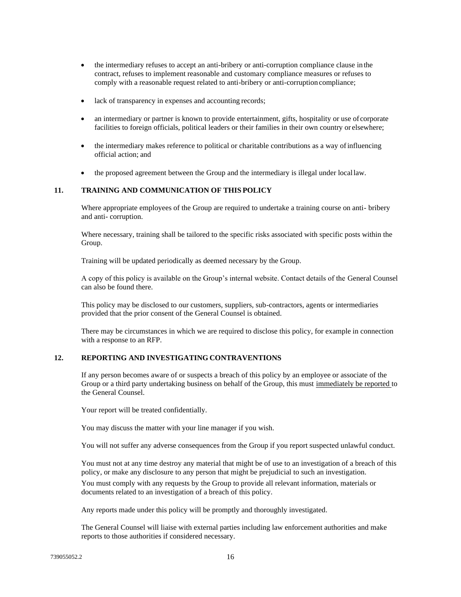- the intermediary refuses to accept an anti-bribery or anti-corruption compliance clause in the contract, refuses to implement reasonable and customary compliance measures or refuses to comply with a reasonable request related to anti-bribery or anti-corruption compliance;
- lack of transparency in expenses and accounting records;
- an intermediary or partner is known to provide entertainment, gifts, hospitality or use of corporate facilities to foreign officials, political leaders or their families in their own country or elsewhere;
- the intermediary makes reference to political or charitable contributions as a way of influencing official action; and
- the proposed agreement between the Group and the intermediary is illegal under locallaw.

# <span id="page-15-0"></span>**11. TRAINING AND COMMUNICATION OF THIS POLICY**

Where appropriate employees of the Group are required to undertake a training course on anti- bribery and anti- corruption.

Where necessary, training shall be tailored to the specific risks associated with specific posts within the Group.

Training will be updated periodically as deemed necessary by the Group.

A copy of this policy is available on the Group's internal website. Contact details of the General Counsel can also be found there.

This policy may be disclosed to our customers, suppliers, sub-contractors, agents or intermediaries provided that the prior consent of the General Counsel is obtained.

There may be circumstances in which we are required to disclose this policy, for example in connection with a response to an RFP.

# <span id="page-15-1"></span>**12. REPORTING AND INVESTIGATING CONTRAVENTIONS**

If any person becomes aware of or suspects a breach of this policy by an employee or associate of the Group or a third party undertaking business on behalf of the Group, this must immediately be reported to the General Counsel.

Your report will be treated confidentially.

You may discuss the matter with your line manager if you wish.

You will not suffer any adverse consequences from the Group if you report suspected unlawful conduct.

You must not at any time destroy any material that might be of use to an investigation of a breach of this policy, or make any disclosure to any person that might be prejudicial to such an investigation.

You must comply with any requests by the Group to provide all relevant information, materials or documents related to an investigation of a breach of this policy.

Any reports made under this policy will be promptly and thoroughly investigated.

The General Counsel will liaise with external parties including law enforcement authorities and make reports to those authorities if considered necessary.